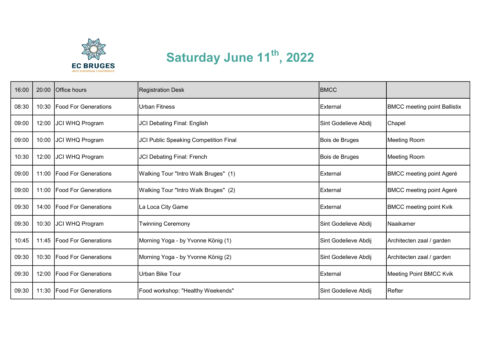

## Saturday June 11<sup>th</sup>, 2022

| 16:00 | 20:00 | Office hours                | <b>Registration Desk</b>              | <b>BMCC</b>          |                                     |
|-------|-------|-----------------------------|---------------------------------------|----------------------|-------------------------------------|
| 08:30 | 10:30 | <b>Food For Generations</b> | <b>Urban Fitness</b>                  | External             | <b>BMCC</b> meeting point Ballistix |
| 09:00 | 12:00 | <b>JCI WHQ Program</b>      | <b>JCI Debating Final: English</b>    | Sint Godelieve Abdij | Chapel                              |
| 09:00 | 10:00 | JCI WHQ Program             | JCI Public Speaking Competition Final | Bois de Bruges       | Meeting Room                        |
| 10:30 | 12:00 | JCI WHQ Program             | <b>JCI Debating Final: French</b>     | Bois de Bruges       | Meeting Room                        |
| 09:00 | 11:00 | <b>Food For Generations</b> | Walking Tour "Intro Walk Bruges" (1)  | External             | <b>BMCC meeting point Ageré</b>     |
| 09:00 | 11:00 | <b>Food For Generations</b> | Walking Tour "Intro Walk Bruges" (2)  | External             | <b>BMCC meeting point Ageré</b>     |
| 09:30 | 14:00 | <b>Food For Generations</b> | La Loca City Game                     | External             | <b>BMCC meeting point Kvik</b>      |
| 09:30 | 10:30 | <b>JCI WHQ Program</b>      | <b>Twinning Ceremony</b>              | Sint Godelieve Abdij | Naaikamer                           |
| 10:45 | 11:45 | <b>Food For Generations</b> | Morning Yoga - by Yvonne König (1)    | Sint Godelieve Abdij | Architecten zaal / garden           |
| 09:30 | 10:30 | <b>Food For Generations</b> | Morning Yoga - by Yvonne König (2)    | Sint Godelieve Abdij | Architecten zaal / garden           |
| 09:30 | 12:00 | Food For Generations        | Urban Bike Tour                       | External             | Meeting Point BMCC Kvik             |
| 09:30 | 11:30 | <b>Food For Generations</b> | Food workshop: "Healthy Weekends"     | Sint Godelieve Abdij | Refter                              |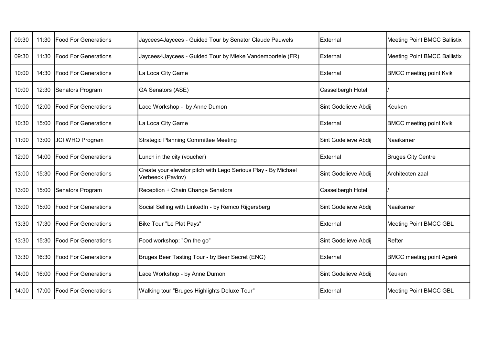| 09:30 | 11:30 | <b>Food For Generations</b>  | Jaycees4Jaycees - Guided Tour by Senator Claude Pauwels                             | External             | Meeting Point BMCC Ballistix    |
|-------|-------|------------------------------|-------------------------------------------------------------------------------------|----------------------|---------------------------------|
| 09:30 |       | 11:30   Food For Generations | Jaycees4Jaycees - Guided Tour by Mieke Vandemoortele (FR)                           | External             | Meeting Point BMCC Ballistix    |
| 10:00 |       | 14:30   Food For Generations | La Loca City Game                                                                   | External             | <b>BMCC meeting point Kvik</b>  |
| 10:00 | 12:30 | Senators Program             | <b>GA Senators (ASE)</b>                                                            | Casselbergh Hotel    |                                 |
| 10:00 |       | 12:00   Food For Generations | Lace Workshop - by Anne Dumon                                                       | Sint Godelieve Abdij | Keuken                          |
| 10:30 |       | 15:00   Food For Generations | La Loca City Game                                                                   | External             | <b>BMCC meeting point Kvik</b>  |
| 11:00 | 13:00 | JCI WHQ Program              | <b>Strategic Planning Committee Meeting</b>                                         | Sint Godelieve Abdij | <b>Naaikamer</b>                |
| 12:00 | 14:00 | <b>Food For Generations</b>  | Lunch in the city (voucher)                                                         | External             | <b>Bruges City Centre</b>       |
| 13:00 |       | 15:30   Food For Generations | Create your elevator pitch with Lego Serious Play - By Michael<br>Verbeeck (Pavlov) | Sint Godelieve Abdij | Architecten zaal                |
| 13:00 | 15:00 | Senators Program             | Reception + Chain Change Senators                                                   | Casselbergh Hotel    |                                 |
| 13:00 | 15:00 | <b>Food For Generations</b>  | Social Selling with LinkedIn - by Remco Rijgersberg                                 | Sint Godelieve Abdij | Naaikamer                       |
| 13:30 |       | 17:30   Food For Generations | Bike Tour "Le Plat Pays"                                                            | External             | Meeting Point BMCC GBL          |
| 13:30 |       | 15:30   Food For Generations | Food workshop: "On the go"                                                          | Sint Godelieve Abdij | Refter                          |
| 13:30 | 16:30 | <b>Food For Generations</b>  | Bruges Beer Tasting Tour - by Beer Secret (ENG)                                     | External             | <b>BMCC meeting point Ageré</b> |
| 14:00 |       | 16:00   Food For Generations | Lace Workshop - by Anne Dumon                                                       | Sint Godelieve Abdij | Keuken                          |
| 14:00 | 17:00 | <b>Food For Generations</b>  | Walking tour "Bruges Highlights Deluxe Tour"                                        | <b>External</b>      | Meeting Point BMCC GBL          |